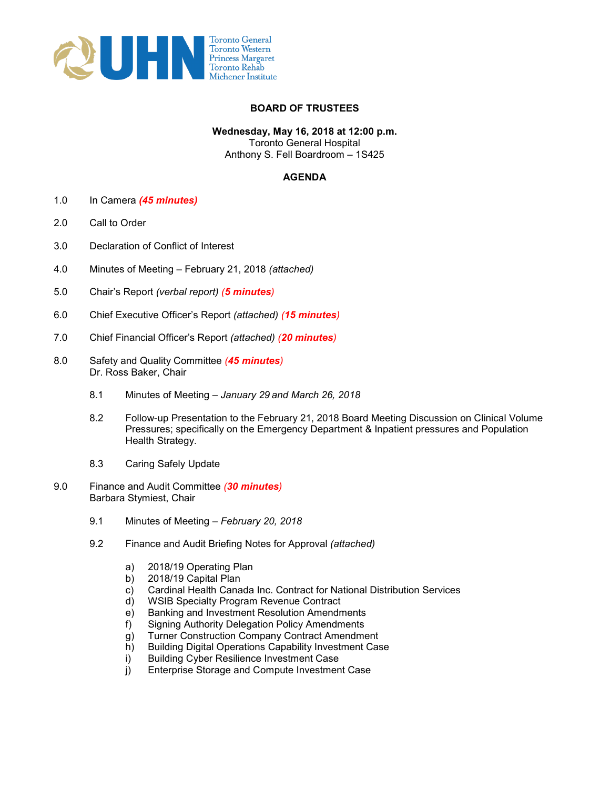

## **BOARD OF TRUSTEES**

**Wednesday, May 16, 2018 at 12:00 p.m.** 

Toronto General Hospital Anthony S. Fell Boardroom – 1S425

## **AGENDA**

- 1.0 In Camera *(45 minutes)*
- 2.0 Call to Order
- 3.0 Declaration of Conflict of Interest
- 4.0 Minutes of Meeting February 21, 2018 *(attached)*
- 5.0 Chair's Report *(verbal report) (5 minutes)*
- 6.0 Chief Executive Officer's Report *(attached) (15 minutes)*
- 7.0 Chief Financial Officer's Report *(attached) (20 minutes)*
- 8.0 Safety and Quality Committee *(45 minutes)* Dr. Ross Baker, Chair
	- 8.1 Minutes of Meeting *January 29 and March 26, 2018*
	- 8.2 Follow-up Presentation to the February 21, 2018 Board Meeting Discussion on Clinical Volume Pressures; specifically on the Emergency Department & Inpatient pressures and Population Health Strategy.
	- 8.3 Caring Safely Update
- 9.0 Finance and Audit Committee *(30 minutes)* Barbara Stymiest, Chair
	- 9.1 Minutes of Meeting *February 20, 2018*
	- 9.2 Finance and Audit Briefing Notes for Approval *(attached)*
		- a) 2018/19 Operating Plan
		- b) 2018/19 Capital Plan
		- c) Cardinal Health Canada Inc. Contract for National Distribution Services
		- d) WSIB Specialty Program Revenue Contract
		- e) Banking and Investment Resolution Amendments
		- f) Signing Authority Delegation Policy Amendments
		- g) Turner Construction Company Contract Amendment
		- h) Building Digital Operations Capability Investment Case
		- i) Building Cyber Resilience Investment Case<br>i) Enterprise Storage and Compute Investmer
		- Enterprise Storage and Compute Investment Case